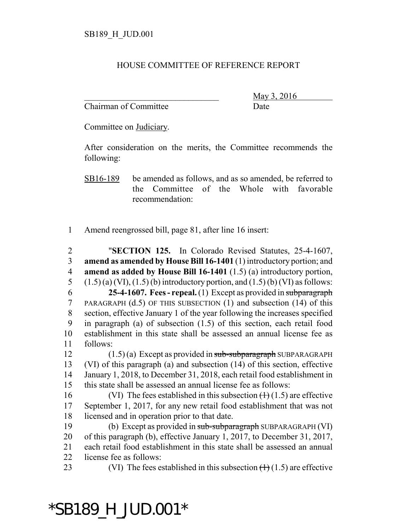## HOUSE COMMITTEE OF REFERENCE REPORT

Chairman of Committee Date

\_\_\_\_\_\_\_\_\_\_\_\_\_\_\_\_\_\_\_\_\_\_\_\_\_\_\_\_\_\_\_ May 3, 2016

Committee on Judiciary.

After consideration on the merits, the Committee recommends the following:

SB16-189 be amended as follows, and as so amended, be referred to the Committee of the Whole with favorable recommendation:

1 Amend reengrossed bill, page 81, after line 16 insert:

 "**SECTION 125.** In Colorado Revised Statutes, 25-4-1607, **amend as amended by House Bill 16-1401** (1) introductory portion; and **amend as added by House Bill 16-1401** (1.5) (a) introductory portion,  $(1.5)$  (a) (VI), (1.5) (b) introductory portion, and (1.5) (b) (VI) as follows: **25-4-1607. Fees - repeal.** (1) Except as provided in subparagraph PARAGRAPH (d.5) OF THIS SUBSECTION (1) and subsection (14) of this section, effective January 1 of the year following the increases specified in paragraph (a) of subsection (1.5) of this section, each retail food establishment in this state shall be assessed an annual license fee as 11 follows: 12 (1.5) (a) Except as provided in sub-subparagraph SUBPARAGRAPH (VI) of this paragraph (a) and subsection (14) of this section, effective January 1, 2018, to December 31, 2018, each retail food establishment in this state shall be assessed an annual license fee as follows: 16 (VI) The fees established in this subsection  $(1)(1.5)$  are effective September 1, 2017, for any new retail food establishment that was not licensed and in operation prior to that date. (b) Except as provided in sub-subparagraph SUBPARAGRAPH (VI) of this paragraph (b), effective January 1, 2017, to December 31, 2017, each retail food establishment in this state shall be assessed an annual license fee as follows: 23 (VI) The fees established in this subsection  $(1)(1.5)$  are effective

## \*SB189\_H\_JUD.001\*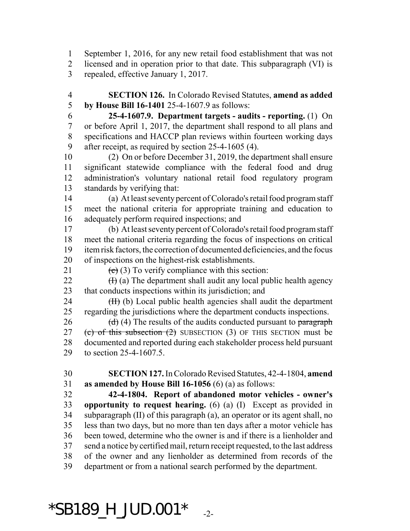September 1, 2016, for any new retail food establishment that was not licensed and in operation prior to that date. This subparagraph (VI) is repealed, effective January 1, 2017.

 **SECTION 126.** In Colorado Revised Statutes, **amend as added by House Bill 16-1401** 25-4-1607.9 as follows:

 **25-4-1607.9. Department targets - audits - reporting.** (1) On or before April 1, 2017, the department shall respond to all plans and specifications and HACCP plan reviews within fourteen working days after receipt, as required by section 25-4-1605 (4).

 (2) On or before December 31, 2019, the department shall ensure significant statewide compliance with the federal food and drug administration's voluntary national retail food regulatory program standards by verifying that:

 (a) At least seventy percent of Colorado's retail food program staff meet the national criteria for appropriate training and education to adequately perform required inspections; and

 (b) At least seventy percent of Colorado's retail food program staff meet the national criteria regarding the focus of inspections on critical item risk factors, the correction of documented deficiencies, and the focus of inspections on the highest-risk establishments.

21 (c) (3) To verify compliance with this section:

22  $(H)$  (a) The department shall audit any local public health agency that conducts inspections within its jurisdiction; and

24 (II) (b) Local public health agencies shall audit the department regarding the jurisdictions where the department conducts inspections.

26 (d) (4) The results of the audits conducted pursuant to paragraph 27 (c) of this subsection  $(2)$  SUBSECTION  $(3)$  OF THIS SECTION must be documented and reported during each stakeholder process held pursuant to section 25-4-1607.5.

 **SECTION 127.** In Colorado Revised Statutes, 42-4-1804, **amend as amended by House Bill 16-1056** (6) (a) as follows:

 **42-4-1804. Report of abandoned motor vehicles - owner's opportunity to request hearing.** (6) (a) (I) Except as provided in subparagraph (II) of this paragraph (a), an operator or its agent shall, no less than two days, but no more than ten days after a motor vehicle has been towed, determine who the owner is and if there is a lienholder and send a notice by certified mail, return receipt requested, to the last address of the owner and any lienholder as determined from records of the department or from a national search performed by the department.

## $*$ SB189\_H\_JUD.001 $*$ <sub>-2-</sub>